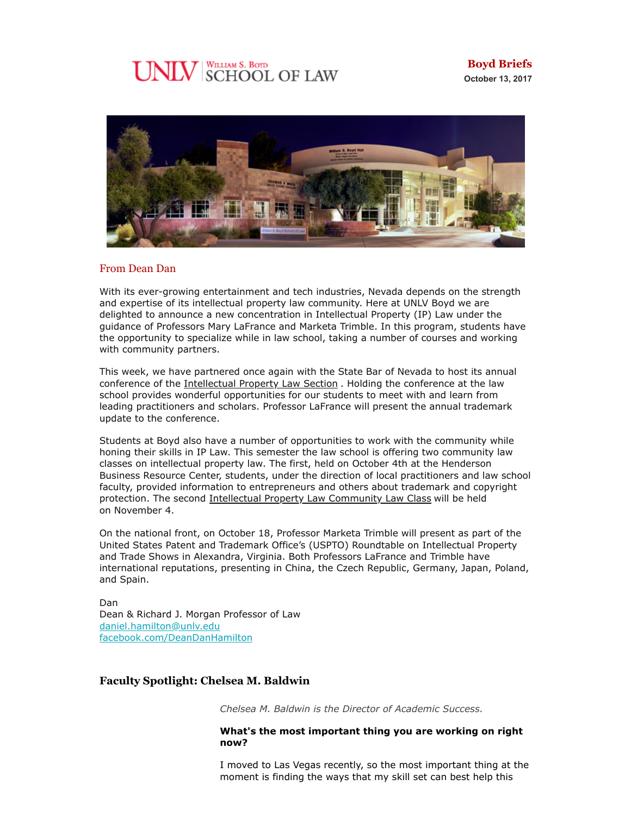# **UNLV** SCHOOL OF LAW



## From Dean Dan

With its ever-growing entertainment and tech industries, Nevada depends on the strength and expertise of its intellectual property law community. Here at UNLV Boyd we are delighted to announce a new concentration in Intellectual Property (IP) Law under the guidance of Professors Mary LaFrance and Marketa Trimble. In this program, students have the opportunity to specialize while in law school, taking a number of courses and working with community partners.

This week, we have partnered once again with the State Bar of Nevada to host its annual conference of the [Intellectual Property Law Section](https://www.nvbar.org/member-services-3895/sections/intellectual-property-law-section/) . Holding the conference at the law school provides wonderful opportunities for our students to meet with and learn from leading practitioners and scholars. Professor LaFrance will present the annual trademark update to the conference.

Students at Boyd also have a number of opportunities to work with the community while honing their skills in IP Law. This semester the law school is offering two community law classes on intellectual property law. The first, held on October 4th at the Henderson Business Resource Center, students, under the direction of local practitioners and law school faculty, provided information to entrepreneurs and others about trademark and copyright protection. The second [Intellectual Property Law Community Law Class](https://law.unlv.edu/event/whats-law-protect-your-business-identity-trademarks-copyright-ip) will be held on November 4.

On the national front, on October 18, Professor Marketa Trimble will present as part of the United States Patent and Trademark Office's (USPTO) Roundtable on Intellectual Property and Trade Shows in Alexandra, Virginia. Both Professors LaFrance and Trimble have international reputations, presenting in China, the Czech Republic, Germany, Japan, Poland, and Spain.

Dan Dean & Richard J. Morgan Professor of Law [daniel.hamilton@unlv.edu](mailto:daniel.hamilton@unlv.edu) [facebook.com/DeanDanHamilton](https://www.facebook.com/DeanDanHamilton)

# **Faculty Spotlight: Chelsea M. Baldwin**

*Chelsea M. Baldwin is the Director of Academic Success.*

#### **What's the most important thing you are working on right now?**

I moved to Las Vegas recently, so the most important thing at the moment is finding the ways that my skill set can best help this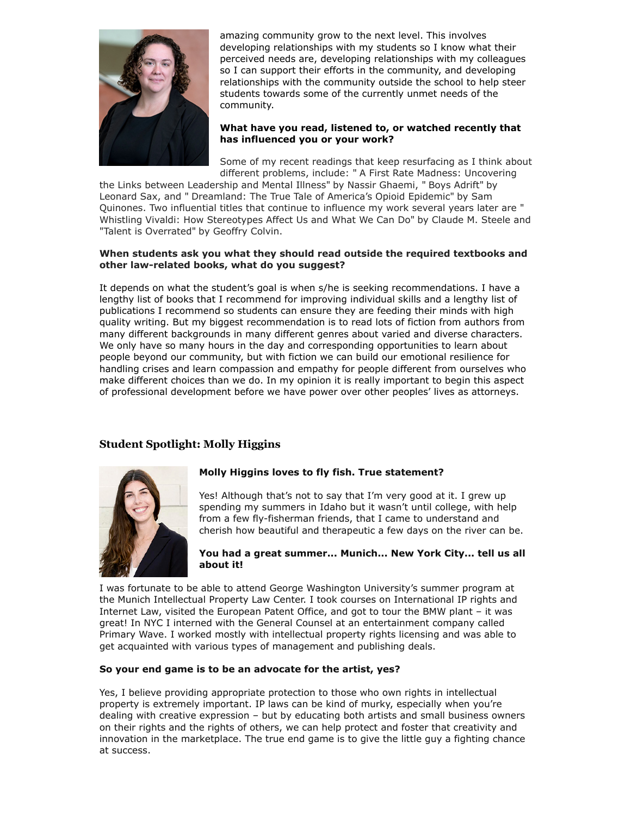

amazing community grow to the next level. This involves developing relationships with my students so I know what their perceived needs are, developing relationships with my colleagues so I can support their efforts in the community, and developing relationships with the community outside the school to help steer students towards some of the currently unmet needs of the community.

## **What have you read, listened to, or watched recently that has influenced you or your work?**

Some of my recent readings that keep resurfacing as I think about different problems, include: " A First Rate Madness: Uncovering

the Links between Leadership and Mental Illness" by Nassir Ghaemi, " Boys Adrift" by Leonard Sax, and " Dreamland: The True Tale of America's Opioid Epidemic" by Sam Quinones. Two influential titles that continue to influence my work several years later are " Whistling Vivaldi: How Stereotypes Affect Us and What We Can Do" by Claude M. Steele and "Talent is Overrated" by Geoffry Colvin.

#### **When students ask you what they should read outside the required textbooks and other law-related books, what do you suggest?**

It depends on what the student's goal is when s/he is seeking recommendations. I have a lengthy list of books that I recommend for improving individual skills and a lengthy list of publications I recommend so students can ensure they are feeding their minds with high quality writing. But my biggest recommendation is to read lots of fiction from authors from many different backgrounds in many different genres about varied and diverse characters. We only have so many hours in the day and corresponding opportunities to learn about people beyond our community, but with fiction we can build our emotional resilience for handling crises and learn compassion and empathy for people different from ourselves who make different choices than we do. In my opinion it is really important to begin this aspect of professional development before we have power over other peoples' lives as attorneys.

# **Student Spotlight: Molly Higgins**



# **Molly Higgins loves to fly fish. True statement?**

Yes! Although that's not to say that I'm very good at it. I grew up spending my summers in Idaho but it wasn't until college, with help from a few fly-fisherman friends, that I came to understand and cherish how beautiful and therapeutic a few days on the river can be.

#### **You had a great summer... Munich... New York City... tell us all about it!**

I was fortunate to be able to attend George Washington University's summer program at the Munich Intellectual Property Law Center. I took courses on International IP rights and Internet Law, visited the European Patent Office, and got to tour the BMW plant – it was great! In NYC I interned with the General Counsel at an entertainment company called Primary Wave. I worked mostly with intellectual property rights licensing and was able to get acquainted with various types of management and publishing deals.

## **So your end game is to be an advocate for the artist, yes?**

Yes, I believe providing appropriate protection to those who own rights in intellectual property is extremely important. IP laws can be kind of murky, especially when you're dealing with creative expression – but by educating both artists and small business owners on their rights and the rights of others, we can help protect and foster that creativity and innovation in the marketplace. The true end game is to give the little guy a fighting chance at success.